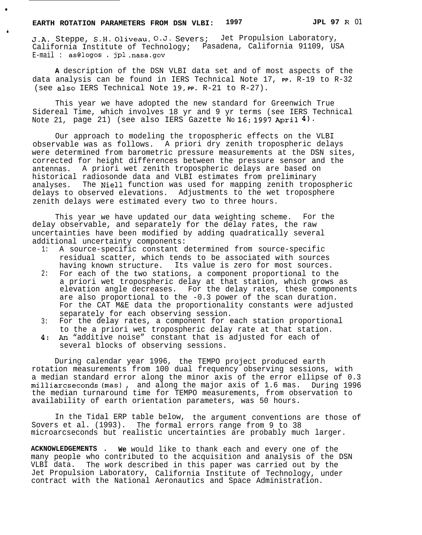●

**9**

J.A. Steppe, S.H. Oliveau, O.J. Severs; Jet Propulsion Laboratory, California Institute of Technology; Pasadena, California 91109, USA E-mail : as@logos . jpl .nasa.gov

**A** description of the DSN VLBI data set and of most aspects of the data analysis can be found in IERS Technical Note 17, **PP.** R-19 to R-32 (see also IERS Technical Note 19, **PP.** R-21 to R-27).

This year we have adopted the new standard for Greenwich True Sidereal Time, which involves 18 yr and 9 yr terms (see IERS Technical Note 21, page 21) (see also IERS Gazette No 16; 1997 April  $4)$ .

Our approach to modeling the tropospheric effects on the VLBI observable was as follows. A priori dry zenith tropospheric delays were determined from barometric pressure measurements at the DSN sites, corrected for height differences between the pressure sensor and the antennas. A priori wet zenith tropospheric delays are based on historical radiosonde data and VLBI estimates from preliminary analyses. The Niell function was used for mapping zenith tropospheric delays to observed elevations. Adjustments to the wet troposphere zenith delays were estimated every two to three hours.

This year we have updated our data weighting scheme. For the delay observable, and separately for the delay rates, the raw uncertainties have been modified by adding quadratically several additional uncertainty components:

- 1: A source-specific constant determined from source-specific residual scatter, which tends to be associated with sources having known structure. Its value is zero for most sources.
- 2: For each of the two stations, a component proportional to the a priori wet tropospheric delay at that station, which grows as elevation angle decreases. For the delay rates, these components are also proportional to the -0.3 power of the scan duration. For the CAT M&E data the proportionality constants were adjusted separately for each observing session.
- 3: For the delay rates, a component for each station proportional to the a priori wet tropospheric delay rate at that station.
- 4: An "additive noise" constant that is adjusted for each of several blocks of observing sessions.

During calendar year 1996, the TEMPO project produced earth rotation measurements from 100 dual frequency observing sessions, with a median standard error along the minor axis of the error ellipse of 0.3 milliarcseconds (mas) , and along the major axis of 1.6 mas. During 1996 the median turnaround time for TEMPO measurements, from observation to availability of earth orientation parameters, was 50 hours.

In the Tidal ERP table below, the argument conventions are those of Sovers et al. (1993). The formal errors range from 9 to 38 microarcseconds but realistic uncertainties are probably much larger.

**ACKNOWLEDGEMENTS . We** would like to thank each and every one of the many people who contributed to the acquisition and analysis of the DSN VLBI data. The work described in this paper was carried out by the Jet Propulsion Laboratory, California Institute of Technology, under contract with the National Aeronautics and Space Administration.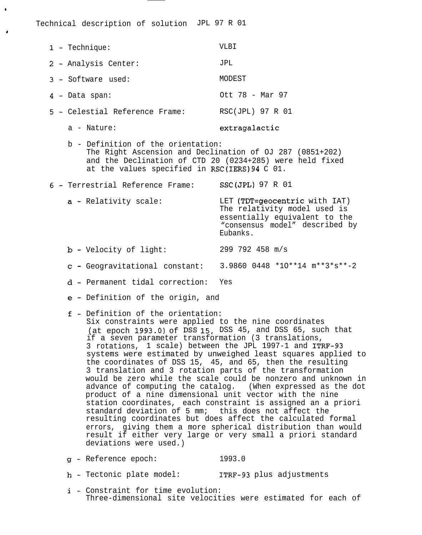Technical description of solution JPL 97 R 01

| $1 - \text{Technique}:$        | VLBI             |
|--------------------------------|------------------|
| 2 - Analysis Center:           | JPL              |
| 3 - Software used:             | MODEST           |
| 4 - Data span:                 | Ott 78 - Mar 97  |
| 5 - Celestial Reference Frame: | RSC(JPL) 97 R 01 |
|                                |                  |

●

I

a - Nature: extragalactic

- b Definition of the orientation: The Right Ascension and Declination of OJ 287 (0851+202) and the Declination of CTD 20 (0234+285) were held fixed at the values specified in RSC(IERS)94 C 01.
- 6- Terrestrial Reference Frame: SSC(JPL) 97 R 01
	- a Relativity scale: LET (TDT=geocentric with IAT) The relativity model used is essentially equivalent to the "consensus model" described by Eubanks.
	- b-Velocity of light: 299 792 458 m/s
	- c-Geogravitational constant: 3.9860 0448 \*1O\*\*14 m\*\*3\*s\*\*-2
	- d-Permanent tidal correction: Yes
	- e-Definition of the origin, and
	- f-Definition of the orientation:
		- Six constraints were applied to the nine coordinates (at epoch 1993.0) of DSS 15, DSS 45, and DSS 65, such that if a seven parameter transformation (3 translations, 3 rotations, 1 scale) between the JPL 1997-1 and ITRF-93 systems were estimated by unweighed least squares applied to the coordinates of DSS 15, 45, and 65, then the resulting 3 translation and 3 rotation parts of the transformation would be zero while the scale could be nonzero and unknown in advance of computing the catalog. (When expressed as the dot product of a nine dimensional unit vector with the nine station coordinates, each constraint is assigned an a priori standard deviation of 5 mm; this does not affect the resulting coordinates but does affect the calculated formal errors, giving them a more spherical distribution than would result if either very large or very small a priori standard deviations were used.)
	- 9- Reference epoch: 1993.0
	- h-Tectonic plate model: ITRF-93 plus adjustments
	- i-Constraint for time evolution: Three-dimensional site velocities were estimated for each of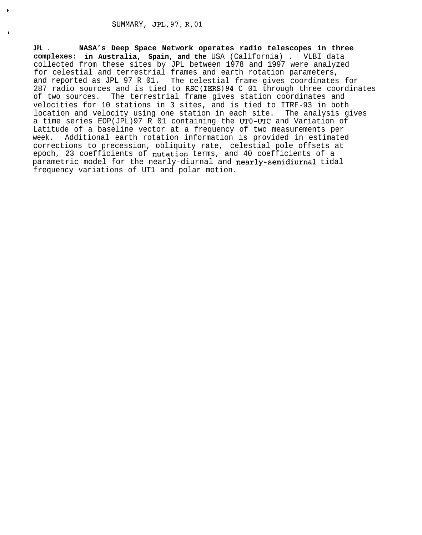\*

I

**JPL . NASA's Deep Space Network operates radio telescopes in three complexes: in Australia, Spain, and the** USA (California) . VLBI data collected from these sites by JPL between 1978 and 1997 were analyzed for celestial and terrestrial frames and earth rotation parameters, and reported as JPL 97 R 01. The celestial frame gives coordinates for 287 radio sources and is tied to RSC(IERS) 94 C 01 through three coordinates of two sources. The terrestrial frame gives station coordinates and The terrestrial frame gives station coordinates and velocities for 10 stations in 3 sites, and is tied to ITRF-93 in both location and velocity using one station in each site. The analysis gives a time series EOP(JPL)97 R 01 containing the UTO-UTC and Variation of Latitude of a baseline vector at a frequency of two measurements per week. Additional earth rotation information is provided in estimated corrections to precession, obliquity rate, celestial pole offsets at epoch, 23 coefficients of nutation terms, and 40 coefficients of a parametric model for the nearly-diurnal and nearly-semidiurnal tidal frequency variations of UT1 and polar motion.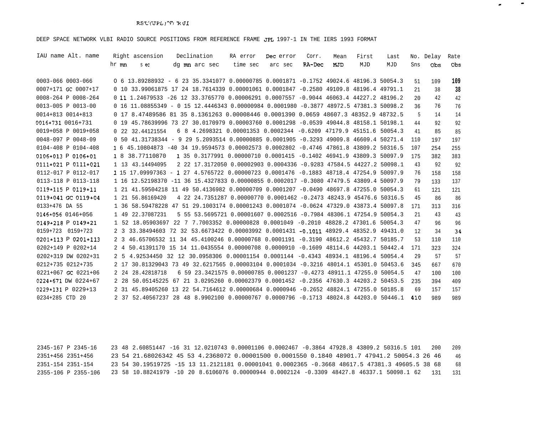## DEEP SPACE NETWORK VLBI RADIO SOURCE POSITIONS FROM REFERENCE FRAME JPL 1997-1 IN THE IERS 1993 FORMAT

| IAU name Alt. name     |       | Right ascension  | Declination   | RA error                                                                                | Dec error | Corr.  | Mean | First | Last |     | No. Delay | Rate |
|------------------------|-------|------------------|---------------|-----------------------------------------------------------------------------------------|-----------|--------|------|-------|------|-----|-----------|------|
|                        | hr mn | s ec             | dg mn arc sec | time sec                                                                                | arc sec   | RA-Dec | MJD  | MJD   | MJD  | Sns | Obs       | Obs  |
| 0003-066 0003-066      |       |                  |               | 0 6 13.89288932 - 6 23 35.3341077 0.00000785 0.0001871 -0.1752 49024.6 48196.3 50054.3  |           |        |      |       |      | 51  | 109       | 109  |
| 0007+171 GC 0007+17    |       |                  |               | 0 10 33.99061875 17 24 18.7614339 0.00001061 0.0001847 -0.2580 49109.8 48196.4 49791.1  |           |        |      |       |      | 21  | 38        | 38   |
| 0008-264 P 0008-264    |       |                  |               | 0 11 1.24679533 -26 12 33.3765770 0.00006291 0.0007557 -0.9044 46063.4 44227.2 48196.2  |           |        |      |       |      | 20  | 42        | 42   |
| 0013-005 P 0013-00     |       |                  |               | 0 16 11.08855349 - 0 15 12.4446343 0.00000984 0.0001980 -0.3877 48972.5 47381.3 50098.2 |           |        |      |       |      | 36  | 76        | 76   |
| 0014+813 0014+813      |       |                  |               | 0 17 8.47489586 81 35 8.1361263 0.00008446 0.0001390 0.0659 48607.3 48352.9 48732.5     |           |        |      |       |      | 5   | 14        | 14   |
| 0016+731 0016+731      |       |                  |               | 0 19 45.78639996 73 27 30.0170979 0.00003760 0.0001298 -0.0539 49044.8 48158.1 50198.1  |           |        |      |       |      | 44  | 92        | 92   |
| 0019+058 P 0019+058    |       | 0 22 32.44121554 |               | 6 8 4.2698321 0.00001353 0.0002344 -0.6209 47179.9 45151.6 50054.3                      |           |        |      |       |      | 41  | 85        | 85   |
| 0048-097 P 0048-09     |       |                  |               | 0 50 41.31738344 - 9 29 5.2093514 0.00000885 0.0001905 -0.3293 49009.8 46609.4 50271.4  |           |        |      |       |      | 110 | 197       | 197  |
| 0104-408 P 0104-408    |       |                  |               | 1 6 45.10804873 -40 34 19.9594573 0.00002573 0.0002802 -0.4746 47861.8 43809.2 50316.5  |           |        |      |       |      | 107 | 254       | 255  |
| $0106+013$ P $0106+01$ |       | 1 8 38.77110870  |               | 1 35 0.3177991 0.00000710 0.0001415 -0.1402 46941.9 43809.3 50097.9                     |           |        |      |       |      | 175 | 382       | 383  |
| 0111+021 P 0111+021    |       | 1 13 43.14494095 |               | 2 22 17.3172050 0.00002903 0.0004336 -0.9283 47584.5 44227.2 50098.1                    |           |        |      |       |      | 43  | 92        | 92   |
| 0112-017 P 0112-017    |       |                  |               | 1 15 17.09997363 - 1 27 4.5765722 0.00000723 0.0001476 -0.1883 48718.4 47254.9 50097.9  |           |        |      |       |      | 76  | 158       | 158  |
| 0113-118 P 0113-118    |       |                  |               | 1 16 12.52198370 -11 36 15.4327833 0.00000855 0.0002017 -0.3080 47479.5 43809.4 50097.9 |           |        |      |       |      | 79  | 133       | 137  |
| 0119+115 P 0119+11     |       |                  |               | 1 21 41.59504218 11 49 50.4136982 0.00000709 0.0001207 -0.0490 48697.8 47255.0 50054.3  |           |        |      |       |      | 61  | 121       | 121  |
| 0119+041 GC 0119+04    |       | 1 21 56.86169420 |               | 4 22 24.7351287 0.00000770 0.0001462 -0.2473 48243.9 45476.6 50316.5                    |           |        |      |       |      | 45  | 86        | 86   |
| 0133+476 DA 55         |       |                  |               | 1 36 58.59478228 47 51 29.1003174 0.00001243 0.0001074 -0.0624 47329.0 43873.4 50097.8  |           |        |      |       |      | 171 | 313       | 316  |
| 0146+056 0146+056      |       | 1 49 22.37087231 |               | 5 55 53.5695721 0.00001607 0.0002516 -0.7984 48306.1 47254.9 50054.3                    |           |        |      |       |      | 21  | 43        | 43   |
| $0149+218$ P $0149+21$ |       |                  |               | 1 52 18.05903697 22 7 7.7003352 0.00000828 0.0001049 -0.2010 48828.2 47301.6 50054.3    |           |        |      |       |      | 47  | 96        | 96   |
| 0159+723 0159+723      |       |                  |               | 2 3 33.38494603 72 32 53.6673422 0.00003992 0.0001431 -0.1011 48929.4 48352.9 49431.0   |           |        |      |       |      | 12  | 34        | 34   |
| 0201+113 P 0201+113    |       |                  |               | 2 3 46.65706532 11 34 45.4100246 0.00000768 0.0001191 -0.3190 48612.2 45432.7 50185.7   |           |        |      |       |      | 53  | 110       | 110  |
| 0202+149 P 0202+14     |       |                  |               | 2 4 50.41391170 15 14 11.0435554 0.00000708 0.0000910 -0.1609 48114.6 44203.1 50442.4   |           |        |      |       |      | 171 | 323       | 324  |
| 0202+319 DW 0202+31    |       |                  |               | 2 5 4.92534450 32 12 30.0958306 0.00001154 0.0001144 -0.4343 48934.1 48196.4 50054.4    |           |        |      |       |      | 29  | 57        | 57   |
| 0212+735 0212+735      |       |                  |               | 2 17 30.81329043 73 49 32.6217565 0.00003104 0.0001034 -0.3216 48014.1 45301.0 50453.6  |           |        |      |       |      | 345 | 667       | 670  |
| 0221+067 GC 0221+06    |       | 2 24 28.42818718 |               | 6 59 23.3421575 0.00000785 0.0001237 -0.4273 48911.1 47255.0 50054.5                    |           |        |      |       |      | 47  | 100       | 100  |
| 0224+671 DW 0224+67    |       |                  |               | 2 28 50.05145225 67 21 3.0295260 0.00002379 0.0001452 -0.2356 47630.3 44203.2 50453.5   |           |        |      |       |      | 235 | 394       | 409  |
| 0229+131 P 0229+13     |       |                  |               | 2 31 45.89405260 13 22 54.7164612 0.00000684 0.0000946 -0.2652 48824.1 47255.0 50185.8  |           |        |      |       |      | 69  | 157       | 157  |
| 0234+285 CTD 20        |       |                  |               | 2 37 52.40567237 28 48 8.9902100 0.00000767 0.0000796 -0.1713 48024.8 44203.0 50446.1   |           |        |      |       |      | 410 | 989       | 989  |

.

.

2345-167 P 2345-16 23 48 2.60851447 -16 31 12.0210743 0.00001106 0.0002467 -0.3864 47928.8 43809.2 50316.5 101 200 209 2351+456 2351+456 23 54 21.68026342 45 53 4.2368072 0.00001500 0.0001550 0.1840 48901.7 47941.2 50054.3 26 46 2351-154 2351-154 23 54 30.19519725 -15 13 11.2121181 0.00001041 0.0002365 -0.3668 48617.5 47381.3 49605.5 38 68 2355-106 P 2355-106 23 58 10.88241979 -10 20 8.6106076 0.00000944 0.0002124 -0.3309 48427.8 46337.1 50098.1 62 131 13146 68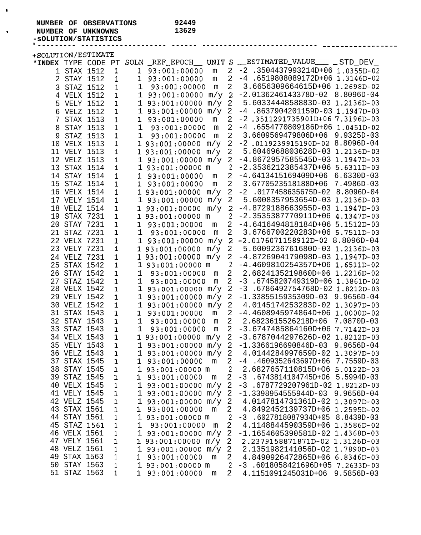## **NUMBER OF OBSERVATIONS** 92449<br>**NUMBER OF UNKNOWNS** 13629

**\* NUMBER OF UNKNOWNS 13629**

**-sOLUTION/STATISTICS**

o

| +SOLUTION/ESTIMATE  |              |              |              |                                     |                |                                                       |
|---------------------|--------------|--------------|--------------|-------------------------------------|----------------|-------------------------------------------------------|
| *INDEX TYPE CODE PT |              |              |              |                                     |                | SOLN REF_EPOCH UNIT S __ESTIMATED_VALUE ___ _ STD_DEV |
|                     | 1 STAX 1512  | 1            | $\mathbf{1}$ | 93:001:00000<br>m                   | $\overline{2}$ | $-2$ .3504437993214D+06 1.0355D-02                    |
|                     | 2 STAY 1512  | 1            | 1            | 93:001:00000<br>m                   | $\overline{2}$ | $-4$ .6519808089172D+06 1.3146D-02                    |
| $\mathsf{3}$        | STAZ 1512    | $\mathbf 1$  | $\mathbf 1$  | m<br>93:001:00000                   | $\overline{2}$ | 3.6656309664615D+06 1.2698D-02                        |
|                     | 4 VELX 1512  | 1            |              | 1 93:001:00000 m/y                  | $\overline{a}$ | $-2.0136246143378D-02$ 8.8096D-04                     |
|                     | 5 VELY 1512  | $\mathbf{1}$ |              | 1 93:001:00000 m/y                  | $\overline{a}$ | 5.6033444858883D-03 1.2136D-03                        |
|                     | 6 VELZ 1512  | $\mathbf 1$  |              | 1 93:001:00000 m/y                  | $\overline{a}$ | $-4$ .8637904201159D-03 1.1947D-03                    |
|                     | 7 STAX 1513  | $\mathbf{1}$ |              | 1 93:001:00000<br>m                 | $\sqrt{2}$     | $-2$ , 3511291735901D+06 7.3196D-03                   |
|                     | 8 STAY 1513  | $\mathbf{1}$ | $\mathbf{1}$ | 93:001:00000<br>${\mathfrak m}$     |                | 2 -4 .6554770809186D+06 1.0451D-02                    |
| 9                   | STAZ 1513    | 1            |              | $1$ 93:001:00000<br>$\mathfrak m$   | $\overline{a}$ | 3.6609569479806D+06 9.9325D-03                        |
|                     | 10 VELX 1513 | $\mathbf{1}$ |              | 1 93:001:00000 m/y                  |                | 2 -2.0119239915190D-02 8.8096D-04                     |
|                     | 11 VELY 1513 | $\mathbf{1}$ |              | $193:001:00000$ m/y 2               |                | 5.6046968803628D-03 1.2136D-03                        |
|                     | 12 VELZ 1513 | $\,1$        |              | 1 93:001:00000 m/y 2                |                | $-4.8672957585545D-03$ 1.1947D-03                     |
|                     | 13 STAX 1514 | 1            |              | 1 93:001:00000 m                    | 2              | $-2.3536212385437D+06$ 5.6311D-03                     |
|                     | 14 STAY 1514 | $\mathbf 1$  |              | 1 93:001:00000<br>m                 |                | 2 -4.6413415169409D+06 6.6330D-03                     |
|                     | 15 STAZ 1514 | 1            |              | 1 93:001:00000<br>m                 | $\overline{a}$ | 3.6770523518188D+06 7.4986D-03                        |
|                     | 16 VELX 1514 | $\mathbf{1}$ |              | 193:001:00000<br>m/y                |                | 2 -2 .0177458635675D-02 8.8096D-04                    |
|                     | 17 VELY 1514 | $\mathbf 1$  |              | 193:001:00000                       |                | $m/y$ 2 5.6008357953654D-03 1.2136D-03                |
|                     | 18 VELZ 1514 | $\mathbf{1}$ |              | 1 93:001:00000<br>m/y               |                | 2 -4.8729188663955D-03 1.1947D-03                     |
|                     | 19 STAX 7231 | $\mathbf{1}$ |              | 1 93:001:00000 m                    | 2              | $-2.3535387770911D+06$ 4.1347D-03                     |
|                     | 20 STAY 7231 | $\mathbf{1}$ |              | 1 93:001:00000<br>m                 |                | 2 -4.6416494818184D+06 5.1512D-03                     |
|                     | 21 STAZ 7231 | $\mathbf{1}$ |              | $1$ 93:001:00000<br>${\mathfrak m}$ |                | 2 3.6766700220283D+06 5.7511D-03                      |
|                     | 22 VELX 7231 | $\mathbf 1$  |              | $1\quad 93:001:00000$               |                | $m/y$ 2 -2.0176071158912D-02 8.8096D-04               |
|                     | 23 VELY 7231 | 1            |              | 193:001:00000<br>m/y                |                | 2 5.6009236761680D-03 1.2136D-03                      |
|                     | 24 VELZ 7231 | 1            |              | 1 93:001:00000<br>m/y               | $\mathbf{2}$   | $-4.8726904179098D-03$ 1.1947D-03                     |
|                     | 25 STAX 1542 | $\mathbf 1$  |              | 1 93:001:00000 m                    |                | $-4.4609810254357D+O6$ 1.6511D-02                     |
|                     | 26 STAY 1542 | $\mathbf{1}$ | $\mathbf{1}$ | 93:001:00000<br>m                   | $2^{\circ}$    | 2.6824135219860D+06 1.2216D-02                        |
|                     | 27 STAZ 1542 | $\mathbf 1$  | 1            | 93:001:00000<br>m                   | 2              | $-3$ .6745820749319D+06 1.3861D-02                    |
|                     | 28 VELX 1542 | $\mathbf{1}$ |              | 1 93:001:00000 m/y                  | $\sqrt{2}$     | $-3$ .6786492754768D-02 1.8212D-03                    |
|                     | 29 VELY 1542 | $\mathbf 1$  |              | $1\,93:001:00000$<br>m/y            | $\sqrt{2}$     | $-1.3385515935309D-03$ 9.9656D-04                     |
|                     | 30 VELZ 1542 | 1            |              | 1 93:001:00000 m/y                  | $\sqrt{2}$     | 4.0145174253283D-02 1.3097D-03                        |
|                     | 31 STAX 1543 | $\mathbf 1$  | $\mathbf{1}$ | 93:001:00000<br>m                   | $\sqrt{2}$     | $-4.4608945974864D+06$ 1.0000D-02                     |
|                     | 32 STAY 1543 | $\mathbf{1}$ | $\mathbf{1}$ | 93:001:00000<br>${\mathfrak m}$     |                | 2 2.6823615526218D+06 7.0870D-03                      |
|                     | 33 STAZ 1543 | $\mathbf{1}$ | 1            | 93:001:00000<br>${\mathfrak m}$     |                | 2 -3.6747485864160D+06 7.7142D-03                     |
|                     | 34 VELX 1543 | $\mathbf{1}$ |              |                                     |                | 1 93:001:00000 m/y 2 -3.6787044297626D-02 1.8212D-03  |
|                     | 35 VELY 1543 | $\mathbf{1}$ |              | 1 93:001:00000 m/y 2                |                | $-1.3366196690846D-03$ 9.9656D-04                     |
|                     | 36 VELZ 1543 | 1            |              | 1 93:001:00000 m/y 2                |                | 4.0144284997659D-02 1.3097D-03                        |
|                     | 37 STAX 1545 | $\mathbf{1}$ |              | 1 93:001:00000<br>m                 | $\overline{a}$ | $-4$ .4609352643697D+06 7.7559D-03                    |
|                     | 38 STAY 1545 | $\mathbf{1}$ |              | $193:001:00000$ m                   | $\overline{2}$ | 2.6827657110815D+06 5.0122D-03                        |
|                     | 39 STAZ 1545 | $\mathbf{1}$ |              | 1 93:001:00000<br>m                 | $\overline{a}$ | $-3$ .6743814104745D+06 5.5994D-03                    |
|                     | 40 VELX 1545 | 1            |              | 1 93:001:00000 m/y                  | $\overline{2}$ | $-3$ .6787729207961D-02 1.8212D-03                    |
|                     | 41 VELY 1545 | $\mathbf 1$  |              | 1 93:001:00000<br>m/y               | $\overline{2}$ | $-1.3398954555944D-03$ 9.9656D-04                     |
|                     | 42 VELZ 1545 | $\mathbf{1}$ |              | 1 93:001:00000 m/y                  | $\overline{a}$ | 4.0147814731361D-02 1.3097D-03                        |
|                     | 43 STAX 1561 | $\mathbf{1}$ |              | 1 93:001:00000<br>m                 | 2              | 4.8492452139737D+06 1.2595D-02                        |
|                     | 44 STAY 1561 | $\mathbf{1}$ |              | $193:001:00000$ m                   | 2              | $-3$ .6027818087934D+05 8.8439D-03                    |
|                     | 45 STAZ 1561 | 1            | 1            | 93:001:00000<br>m                   | 2              | 4.1148844590359D+06 1.3586D-02                        |
|                     | 46 VELX 1561 | 1            |              | 1 93:001:00000 m/y                  | $\overline{c}$ | $-1.1654605390581D-02$ 1.4368D-03                     |
|                     | 47 VELY 1561 | 1            |              | 1 93:001:00000 m/y                  | 2              | 2.2379158871871D-02 1.3126D-03                        |
|                     | 48 VELZ 1561 | $\mathbf{1}$ |              | 1 93:001:00000 m/y                  | 2              | 2.1351982141056D-02 1.7890D-03                        |
|                     | 49 STAX 1563 | $\mathbf{1}$ |              | 1 93:001:00000<br>m                 | 2              | 4.8490926472865D+06 6.8346D-03                        |
|                     | 50 STAY 1563 | $\mathbf{1}$ |              | $193:001:00000$ m                   | $\overline{2}$ | $-3$ .6018058421696D+05 7.2633D-03                    |
|                     | 51 STAZ 1563 | 1            |              | 1 93:001:00000<br>m                 | 2              | 4.1151091245031D+06 9.5856D-03                        |